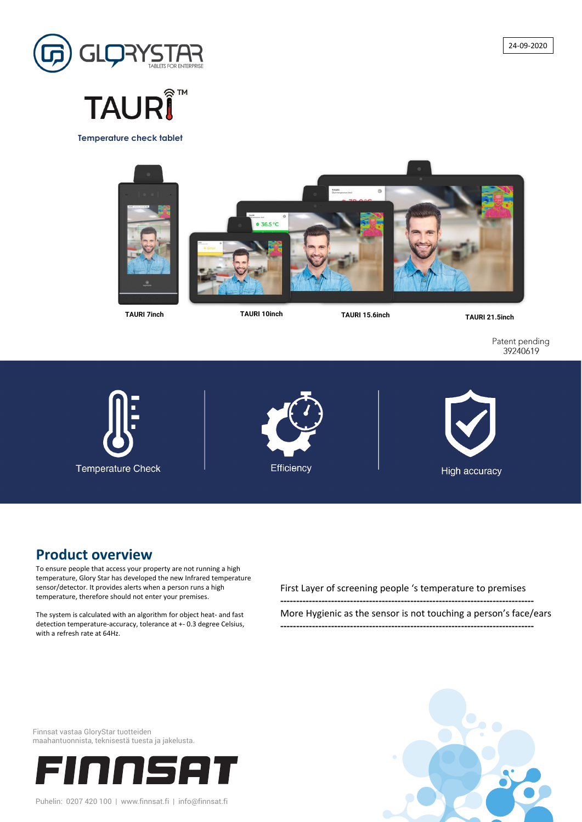

# **TAURΙ**

#### **Product overview**

To ensure people that access your property are not running a high temperature, Glory Star has developed the new Infrared temperature sensor/detector. It provides alerts when a person runs a high temperature, therefore should not enter your premises.

The system is calculated with an algorithm for object heat- and fast

detection temperature-accuracy, tolerance at +- 0.3 degree Celsius, with a refresh rate at 64Hz.

First Layer of screening people 's temperature to premises

**--------------------------------------------------------------------------------**

More Hygienic as the sensor is not touching a person's face/ears

**--------------------------------------------------------------------------------**

**TAURI 15.6inch TAURI 21.5inch TAURI 10inch**

Patent pending 39240619

**Temperature Check** 





**Temperature check tablet**



**TAURI 7inch**

Finnsat vastaa GloryStar tuotteiden maahantuonnista, teknisestä tuesta ja jakelusta.

#### nnser FII

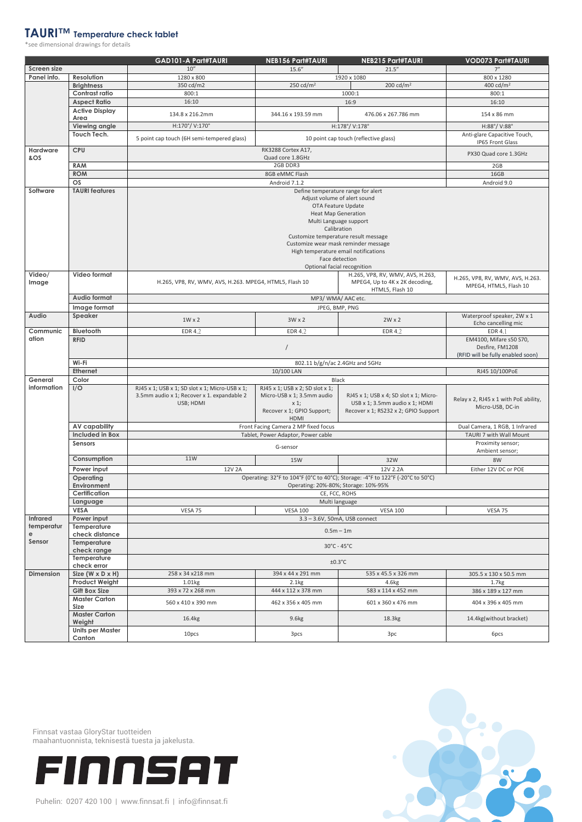#### **TAURI™ Temperature check tablet**

\*see dimensional drawings for details

|                    |                                               | <b>GAD101-A Part#TAURI</b>                                                                                                                                      | <b>NEB156 Part#TAURI</b>                                                                                            | <b>NEB215 Part#TAURI</b>                                                                                         | <b>VOD073 Part#TAURI</b>                                                        |  |
|--------------------|-----------------------------------------------|-----------------------------------------------------------------------------------------------------------------------------------------------------------------|---------------------------------------------------------------------------------------------------------------------|------------------------------------------------------------------------------------------------------------------|---------------------------------------------------------------------------------|--|
| <b>Screen size</b> |                                               | 10''                                                                                                                                                            | 15.6''                                                                                                              | 21.5''                                                                                                           | 7"                                                                              |  |
| Panel info.        | <b>Resolution</b>                             | 1280 x 800                                                                                                                                                      |                                                                                                                     | 1920 x 1080                                                                                                      | 800 x 1280                                                                      |  |
|                    | <b>Brightness</b>                             | 350 cd/m2                                                                                                                                                       | 250 $cd/m2$                                                                                                         | 200 cd/ $m2$                                                                                                     | 400 cd/ $m2$                                                                    |  |
|                    | <b>Contrast ratio</b>                         | 800:1                                                                                                                                                           |                                                                                                                     | 1000:1                                                                                                           | 800:1                                                                           |  |
|                    | <b>Aspect Ratio</b>                           | 16:10                                                                                                                                                           |                                                                                                                     | 16:9                                                                                                             | 16:10                                                                           |  |
|                    | <b>Active Display</b><br>Area                 | 134.8 x 216.2mm                                                                                                                                                 | 344.16 x 193.59 mm                                                                                                  | 476.06 x 267.786 mm                                                                                              | 154 x 86 mm                                                                     |  |
|                    | <b>Viewing angle</b>                          | H:170°/V:170°                                                                                                                                                   |                                                                                                                     | H:178°/V:178°                                                                                                    | H:88°/V:88°                                                                     |  |
|                    | <b>Touch Tech.</b>                            | 5 point cap touch (6H semi-tempered glass)<br>10 point cap touch (reflective glass)                                                                             |                                                                                                                     |                                                                                                                  | Anti-glare Capacitive Touch,<br>IP65 Front Glass                                |  |
| Hardware<br>&OS    | <b>CPU</b>                                    | RK3288 Cortex A17,<br>Quad core 1.8GHz                                                                                                                          |                                                                                                                     |                                                                                                                  | PX30 Quad core 1.3GHz                                                           |  |
|                    | <b>RAM</b>                                    | 2GB DDR3                                                                                                                                                        |                                                                                                                     |                                                                                                                  | 2GB                                                                             |  |
|                    | <b>ROM</b>                                    | 8GB eMMC Flash                                                                                                                                                  |                                                                                                                     |                                                                                                                  | 16GB                                                                            |  |
|                    | OS                                            | Android 7.1.2                                                                                                                                                   |                                                                                                                     |                                                                                                                  | Android 9.0                                                                     |  |
| Software           | <b>TAURI</b> features                         | Define temperature range for alert<br>Adjust volume of alert sound<br>OTA Feature Update<br><b>Heat Map Generation</b><br>Multi Language support<br>Calibration |                                                                                                                     |                                                                                                                  |                                                                                 |  |
|                    |                                               |                                                                                                                                                                 |                                                                                                                     |                                                                                                                  |                                                                                 |  |
| Video/<br>Image    | <b>Video format</b>                           | H.265, VP8, RV, WMV, AVS, H.263,<br>MPEG4, Up to 4K x 2K decoding,<br>H.265, VP8, RV, WMV, AVS, H.263. MPEG4, HTML5, Flash 10<br>HTML5, Flash 10                |                                                                                                                     | H.265, VP8, RV, WMV, AVS, H.263.<br>MPEG4, HTML5, Flash 10                                                       |                                                                                 |  |
|                    | <b>Audio format</b>                           |                                                                                                                                                                 |                                                                                                                     |                                                                                                                  |                                                                                 |  |
|                    | Image format                                  |                                                                                                                                                                 |                                                                                                                     | JPEG, BMP, PNG                                                                                                   |                                                                                 |  |
| Audio              | Speaker                                       | $1W \times 2$                                                                                                                                                   | $3W \times 2$                                                                                                       | $2W \times 2$                                                                                                    | Waterproof speaker, 2W x 1<br>Echo cancelling mic                               |  |
| Communic           | <b>Bluetooth</b>                              | EDR 4.2                                                                                                                                                         | EDR 4.2                                                                                                             | <b>EDR 4.2</b>                                                                                                   | EDR 4.1                                                                         |  |
| ation              | <b>RFID</b>                                   |                                                                                                                                                                 |                                                                                                                     |                                                                                                                  | EM4100, Mifare s50 S70,<br>Desfire, FM1208<br>(RFID will be fully enabled soon) |  |
|                    | Wi-Fi                                         | 802.11 b/g/n/ac 2.4GHz and 5GHz                                                                                                                                 |                                                                                                                     |                                                                                                                  |                                                                                 |  |
|                    | <b>Ethernet</b>                               |                                                                                                                                                                 | 10/100 LAN                                                                                                          |                                                                                                                  | RJ45 10/100PoE                                                                  |  |
| General            | Color                                         |                                                                                                                                                                 |                                                                                                                     | <b>Black</b>                                                                                                     |                                                                                 |  |
| information        | I/O                                           | RJ45 x 1; USB x 1; SD slot x 1; Micro-USB x 1;<br>3.5mm audio x 1; Recover x 1. expandable 2<br>USB: HDMI                                                       | RJ45 x 1; USB x 2; SD slot x 1;<br>Micro-USB x 1; 3.5mm audio<br>$x_1$<br>Recover x 1; GPIO Support;<br><b>HDMI</b> | RJ45 x 1; USB x 4; SD slot x 1; Micro-<br>USB x 1; 3.5mm audio x 1; HDMI<br>Recover x 1; RS232 x 2; GPIO Support | Relay x 2, RJ45 x 1 with PoE ability,<br>Micro-USB, DC-in                       |  |
|                    | <b>AV capability</b>                          | Front Facing Camera 2 MP fixed focus                                                                                                                            |                                                                                                                     |                                                                                                                  | Dual Camera, 1 RGB, 1 Infrared                                                  |  |
|                    | <b>Included in Box</b>                        | Tablet, Power Adaptor, Power cable                                                                                                                              |                                                                                                                     |                                                                                                                  | TAURI 7 with Wall Mount                                                         |  |
|                    | <b>Sensors</b>                                | G-sensor                                                                                                                                                        |                                                                                                                     |                                                                                                                  | Proximity sensor;<br>Ambient sensor;                                            |  |
|                    | Consumption                                   | 11W                                                                                                                                                             | 15W                                                                                                                 | 32W                                                                                                              | 8W                                                                              |  |
|                    | Power input                                   | 12V 2A                                                                                                                                                          |                                                                                                                     | 12V 2.2A                                                                                                         | Either 12V DC or POE                                                            |  |
|                    | Operating                                     | Operating: 32°F to 104°F (0°C to 40°C); Storage: -4°F to 122°F (-20°C to 50°C)                                                                                  |                                                                                                                     |                                                                                                                  |                                                                                 |  |
|                    | Environment                                   | Operating: 20%-80%; Storage: 10%-95%                                                                                                                            |                                                                                                                     |                                                                                                                  |                                                                                 |  |
|                    | <b>Certification</b>                          | CE, FCC, ROHS                                                                                                                                                   |                                                                                                                     |                                                                                                                  |                                                                                 |  |
|                    | Language                                      | Multi language                                                                                                                                                  |                                                                                                                     |                                                                                                                  |                                                                                 |  |
|                    | <b>VESA</b>                                   | VESA 75<br><b>VESA 100</b><br><b>VESA 100</b><br>VESA 75                                                                                                        |                                                                                                                     |                                                                                                                  |                                                                                 |  |
| <b>Infrared</b>    | Power input                                   | 3.3 - 3.6V, 50mA, USB connect                                                                                                                                   |                                                                                                                     |                                                                                                                  |                                                                                 |  |
| temperatur         | Temperature                                   | $0.5m - 1m$                                                                                                                                                     |                                                                                                                     |                                                                                                                  |                                                                                 |  |
| е<br>Sensor        | check distance<br>Temperature                 | $30^{\circ}$ C - 45 $^{\circ}$ C                                                                                                                                |                                                                                                                     |                                                                                                                  |                                                                                 |  |
|                    | check range<br>Temperature                    |                                                                                                                                                                 |                                                                                                                     |                                                                                                                  |                                                                                 |  |
|                    | check error                                   | 535 x 45.5 x 326 mm                                                                                                                                             |                                                                                                                     |                                                                                                                  |                                                                                 |  |
| <b>Dimension</b>   | Size $(W \times D \times H)$                  | 258 x 34 x 218 mm                                                                                                                                               | 394 x 44 x 291 mm<br>2.1kg                                                                                          |                                                                                                                  | 305.5 x 130 x 50.5 mm                                                           |  |
|                    | <b>Product Weight</b><br><b>Gift Box Size</b> | 1.01kg<br>393 x 72 x 268 mm                                                                                                                                     | 444 x 112 x 378 mm                                                                                                  | 4.6kg<br>583 x 114 x 452 mm                                                                                      | 1.7kg<br>386 x 189 x 127 mm                                                     |  |
|                    | <b>Master Carton</b>                          |                                                                                                                                                                 |                                                                                                                     |                                                                                                                  |                                                                                 |  |
|                    | <b>Size</b>                                   | 560 x 410 x 390 mm                                                                                                                                              | 462 x 356 x 405 mm                                                                                                  | 601 x 360 x 476 mm                                                                                               | 404 x 396 x 405 mm                                                              |  |
|                    | <b>Master Carton</b><br>Weight                | 16.4kg                                                                                                                                                          | 9.6kg                                                                                                               | 18.3kg                                                                                                           | 14.4kg(without bracket)                                                         |  |
|                    | <b>Units per Master</b><br>Canton             | 10pcs                                                                                                                                                           | 3pcs                                                                                                                | 3pc                                                                                                              | 6pcs                                                                            |  |

Finnsat vastaa GloryStar tuotteiden maahantuonnista, teknisestä tuesta ja jakelusta.

# FINNSAT

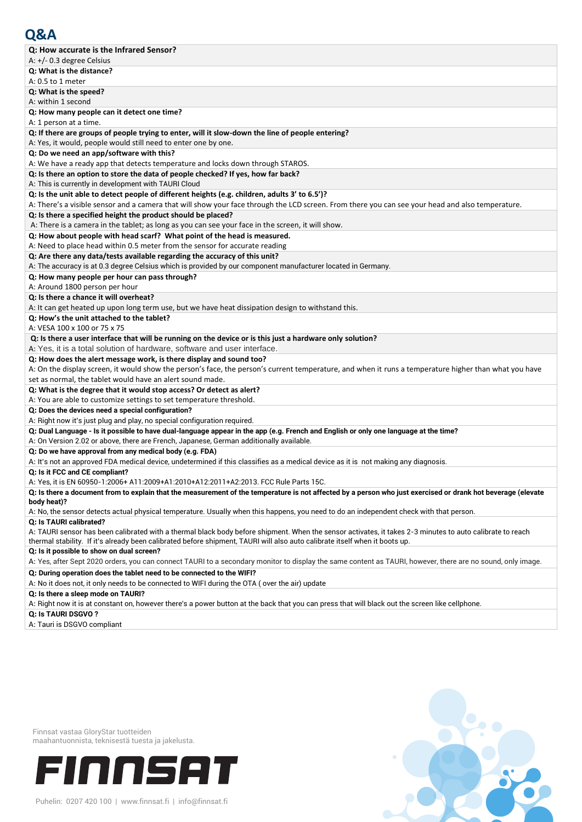| A: $+/-$ 0.3 degree Celsius                                                                                                                                                                                                                                                              |
|------------------------------------------------------------------------------------------------------------------------------------------------------------------------------------------------------------------------------------------------------------------------------------------|
| Q: What is the distance?                                                                                                                                                                                                                                                                 |
| A: 0.5 to 1 meter                                                                                                                                                                                                                                                                        |
| Q: What is the speed?                                                                                                                                                                                                                                                                    |
| A: within 1 second                                                                                                                                                                                                                                                                       |
| Q: How many people can it detect one time?                                                                                                                                                                                                                                               |
| A: 1 person at a time.                                                                                                                                                                                                                                                                   |
| Q: If there are groups of people trying to enter, will it slow-down the line of people entering?                                                                                                                                                                                         |
| A: Yes, it would, people would still need to enter one by one.                                                                                                                                                                                                                           |
| Q: Do we need an app/software with this?                                                                                                                                                                                                                                                 |
| A: We have a ready app that detects temperature and locks down through STAROS.                                                                                                                                                                                                           |
| Q: Is there an option to store the data of people checked? If yes, how far back?                                                                                                                                                                                                         |
| A: This is currently in development with TAURI Cloud                                                                                                                                                                                                                                     |
| Q: Is the unit able to detect people of different heights (e.g. children, adults 3' to 6.5')?                                                                                                                                                                                            |
| A: There's a visible sensor and a camera that will show your face through the LCD screen. From there you can see your head and also temperature.                                                                                                                                         |
| Q: Is there a specified height the product should be placed?                                                                                                                                                                                                                             |
| A: There is a camera in the tablet; as long as you can see your face in the screen, it will show.                                                                                                                                                                                        |
| Q: How about people with head scarf? What point of the head is measured.                                                                                                                                                                                                                 |
| A: Need to place head within 0.5 meter from the sensor for accurate reading                                                                                                                                                                                                              |
| Q: Are there any data/tests available regarding the accuracy of this unit?                                                                                                                                                                                                               |
| A: The accuracy is at 0.3 degree Celsius which is provided by our component manufacturer located in Germany.                                                                                                                                                                             |
| Q: How many people per hour can pass through?                                                                                                                                                                                                                                            |
| A: Around 1800 person per hour                                                                                                                                                                                                                                                           |
| Q: Is there a chance it will overheat?                                                                                                                                                                                                                                                   |
| A: It can get heated up upon long term use, but we have heat dissipation design to withstand this.                                                                                                                                                                                       |
| Q: How's the unit attached to the tablet?                                                                                                                                                                                                                                                |
| A: VESA 100 x 100 or 75 x 75                                                                                                                                                                                                                                                             |
| Q: Is there a user interface that will be running on the device or is this just a hardware only solution?                                                                                                                                                                                |
| A: Yes, it is a total solution of hardware, software and user interface.                                                                                                                                                                                                                 |
| Q: How does the alert message work, is there display and sound too?                                                                                                                                                                                                                      |
| A: On the display screen, it would show the person's face, the person's current temperature, and when it runs a temperature higher than what you have                                                                                                                                    |
| set as normal, the tablet would have an alert sound made.                                                                                                                                                                                                                                |
| Q: What is the degree that it would stop access? Or detect as alert?                                                                                                                                                                                                                     |
|                                                                                                                                                                                                                                                                                          |
|                                                                                                                                                                                                                                                                                          |
| A: You are able to customize settings to set temperature threshold.                                                                                                                                                                                                                      |
| Q: Does the devices need a special configuration?                                                                                                                                                                                                                                        |
| A: Right now it's just plug and play, no special configuration required.                                                                                                                                                                                                                 |
| Q: Dual Language - Is it possible to have dual-language appear in the app (e.g. French and English or only one language at the time?                                                                                                                                                     |
| A: On Version 2.02 or above, there are French, Japanese, German additionally available.                                                                                                                                                                                                  |
| Q: Do we have approval from any medical body (e.g. FDA)                                                                                                                                                                                                                                  |
| A: It's not an approved FDA medical device, undetermined if this classifies as a medical device as it is not making any diagnosis.                                                                                                                                                       |
| Q: Is it FCC and CE compliant?                                                                                                                                                                                                                                                           |
| A: Yes, it is EN 60950-1:2006+ A11:2009+A1:2010+A12:2011+A2:2013. FCC Rule Parts 15C.                                                                                                                                                                                                    |
| Q: Is there a document from to explain that the measurement of the temperature is not affected by a person who just exercised or drank hot beverage (elevate                                                                                                                             |
| body heat)?                                                                                                                                                                                                                                                                              |
| A: No, the sensor detects actual physical temperature. Usually when this happens, you need to do an independent check with that person.                                                                                                                                                  |
| Q: Is TAURI calibrated?                                                                                                                                                                                                                                                                  |
| A: TAURI sensor has been calibrated with a thermal black body before shipment. When the sensor activates, it takes 2-3 minutes to auto calibrate to reach<br>thermal stability. If it's already been calibrated before shipment, TAURI will also auto calibrate itself when it boots up. |
| Q: Is it possible to show on dual screen?<br>A: Yes, after Sept 2020 orders, you can connect TAURI to a secondary monitor to display the same content as TAURI, however, there are no sound, only image.                                                                                 |
| Q: During operation does the tablet need to be connected to the WIFI?                                                                                                                                                                                                                    |
| A: No it does not, it only needs to be connected to WIFI during the OTA (over the air) update                                                                                                                                                                                            |
| Q: Is there a sleep mode on TAURI?                                                                                                                                                                                                                                                       |
| A: Right now it is at constant on, however there's a power button at the back that you can press that will black out the screen like cellphone.                                                                                                                                          |

Finnsat vastaa GloryStar tuotteiden maahantuonnista, teknisestä tuesta ja jakelusta.

# FINNSAT